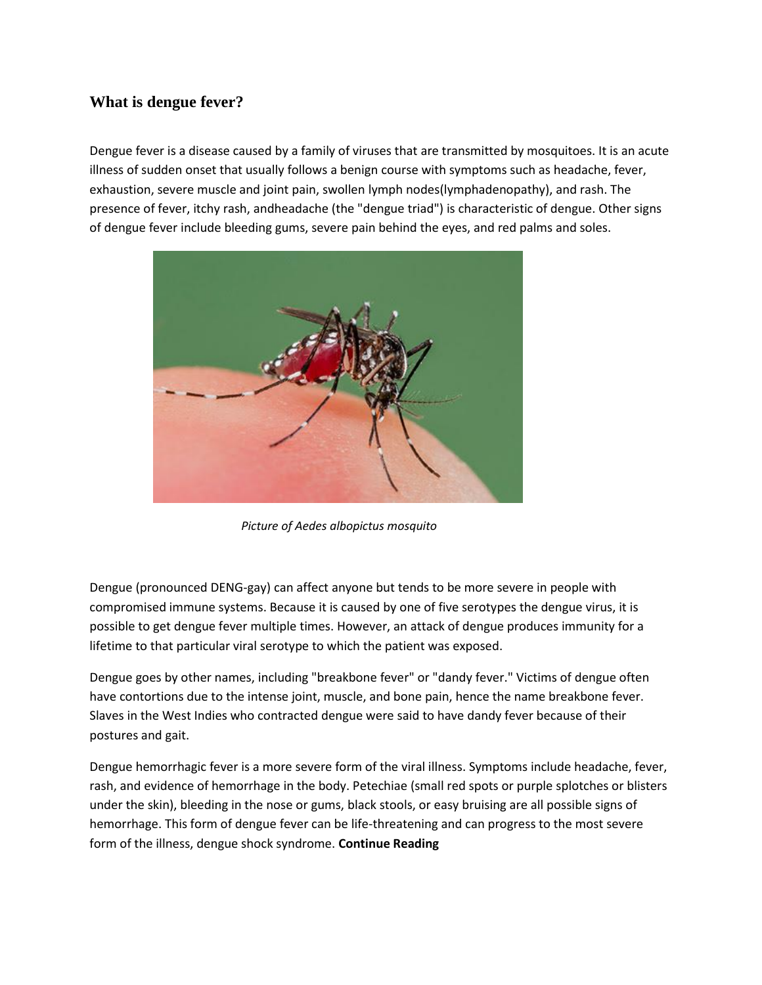## **What is dengue fever?**

Dengue fever is a disease caused by a family of viruses that are transmitted by mosquitoes. It is an acute illness of sudden onset that usually follows a benign course with symptoms such as headache, fever, exhaustion, severe muscle and joint pain, swollen lymph nodes(lymphadenopathy), and rash. The presence of fever, itchy rash, andheadache (the "dengue triad") is characteristic of dengue. Other signs of dengue fever include bleeding gums, severe pain behind the eyes, and red palms and soles.



*Picture of Aedes albopictus mosquito*

Dengue (pronounced DENG-gay) can affect anyone but tends to be more severe in people with compromised immune systems. Because it is caused by one of five serotypes the dengue virus, it is possible to get dengue fever multiple times. However, an attack of dengue produces immunity for a lifetime to that particular viral serotype to which the patient was exposed.

Dengue goes by other names, including "breakbone fever" or "dandy fever." Victims of dengue often have contortions due to the intense joint, muscle, and bone pain, hence the name breakbone fever. Slaves in the West Indies who contracted dengue were said to have dandy fever because of their postures and gait.

Dengue hemorrhagic fever is a more severe form of the viral illness. Symptoms include headache, fever, rash, and evidence of hemorrhage in the body. Petechiae (small red spots or purple splotches or blisters under the skin), bleeding in the nose or gums, black stools, or easy bruising are all possible signs of hemorrhage. This form of dengue fever can be life-threatening and can progress to the most severe form of the illness, dengue shock syndrome. **Continue Reading**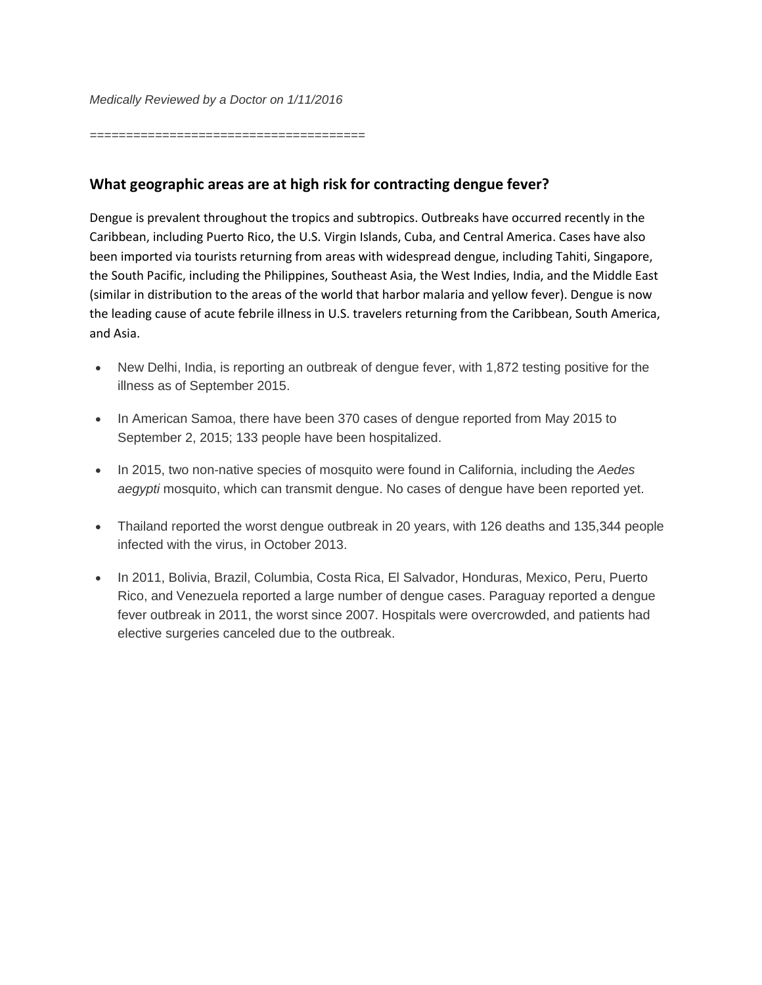*======================================*

## **What geographic areas are at high risk for contracting dengue fever?**

Dengue is prevalent throughout the tropics and subtropics. Outbreaks have occurred recently in the Caribbean, including Puerto Rico, the U.S. Virgin Islands, Cuba, and Central America. Cases have also been imported via tourists returning from areas with widespread dengue, including Tahiti, Singapore, the South Pacific, including the Philippines, Southeast Asia, the West Indies, India, and the Middle East (similar in distribution to the areas of the world that harbor malaria and yellow fever). Dengue is now the leading cause of acute febrile illness in U.S. travelers returning from the Caribbean, South America, and Asia.

- New Delhi, India, is reporting an outbreak of dengue fever, with 1,872 testing positive for the illness as of September 2015.
- In American Samoa, there have been 370 cases of dengue reported from May 2015 to September 2, 2015; 133 people have been hospitalized.
- In 2015, two non-native species of mosquito were found in California, including the *Aedes aegypti* mosquito, which can transmit dengue. No cases of dengue have been reported yet.
- Thailand reported the worst dengue outbreak in 20 years, with 126 deaths and 135,344 people infected with the virus, in October 2013.
- In 2011, Bolivia, Brazil, Columbia, Costa Rica, El Salvador, Honduras, Mexico, Peru, Puerto Rico, and Venezuela reported a large number of dengue cases. Paraguay reported a dengue fever outbreak in 2011, the worst since 2007. Hospitals were overcrowded, and patients had elective surgeries canceled due to the outbreak.